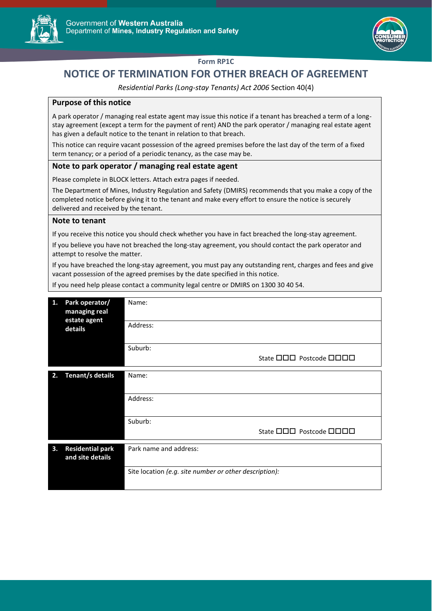



## **Form RP1C**

# **NOTICE OF TERMINATION FOR OTHER BREACH OF AGREEMENT**

*Residential Parks (Long-stay Tenants) Act 2006* Section 40(4)

### **Purpose of this notice**

A park operator / managing real estate agent may issue this notice if a tenant has breached a term of a longstay agreement (except a term for the payment of rent) AND the park operator / managing real estate agent has given a default notice to the tenant in relation to that breach.

This notice can require vacant possession of the agreed premises before the last day of the term of a fixed term tenancy; or a period of a periodic tenancy, as the case may be.

### **Note to park operator / managing real estate agent**

Please complete in BLOCK letters. Attach extra pages if needed.

The Department of Mines, Industry Regulation and Safety (DMIRS) recommends that you make a copy of the completed notice before giving it to the tenant and make every effort to ensure the notice is securely delivered and received by the tenant.

### **Note to tenant**

If you receive this notice you should check whether you have in fact breached the long-stay agreement.

If you believe you have not breached the long-stay agreement, you should contact the park operator and attempt to resolve the matter.

If you have breached the long-stay agreement, you must pay any outstanding rent, charges and fees and give vacant possession of the agreed premises by the date specified in this notice.

If you need help please contact a community legal centre or DMIRS on 1300 30 40 54.

| 1.                                                | Park operator/<br>managing real<br>estate agent<br>details | Name:                                                  |
|---------------------------------------------------|------------------------------------------------------------|--------------------------------------------------------|
|                                                   |                                                            | Address:                                               |
|                                                   |                                                            | Suburb:                                                |
|                                                   |                                                            | State <b>OOO</b> Postcode <b>OOOO</b>                  |
| 2.                                                | Tenant/s details                                           | Name:                                                  |
|                                                   |                                                            |                                                        |
|                                                   |                                                            | Address:                                               |
|                                                   |                                                            | Suburb:                                                |
|                                                   |                                                            | State <b>OOO</b> Postcode <b>OOOO</b>                  |
| <b>Residential park</b><br>3.<br>and site details |                                                            | Park name and address:                                 |
|                                                   |                                                            | Site location (e.g. site number or other description): |